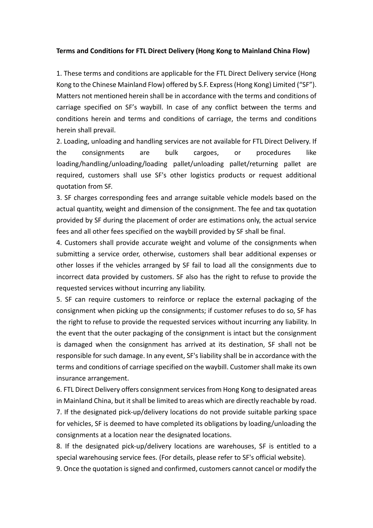## **Terms and Conditions for FTL Direct Delivery (Hong Kong to Mainland China Flow)**

1. These terms and conditions are applicable for the FTL Direct Delivery service (Hong Kong to the Chinese Mainland Flow) offered by S.F. Express (Hong Kong) Limited ("SF"). Matters not mentioned herein shall be in accordance with the terms and conditions of carriage specified on SF's waybill. In case of any conflict between the terms and conditions herein and terms and conditions of carriage, the terms and conditions herein shall prevail.

2. Loading, unloading and handling services are not available for FTL Direct Delivery. If the consignments are bulk cargoes, or procedures like loading/handling/unloading/loading pallet/unloading pallet/returning pallet are required, customers shall use SF's other logistics products or request additional quotation from SF.

3. SF charges corresponding fees and arrange suitable vehicle models based on the actual quantity, weight and dimension of the consignment. The fee and tax quotation provided by SF during the placement of order are estimations only, the actual service fees and all other fees specified on the waybill provided by SF shall be final.

4. Customers shall provide accurate weight and volume of the consignments when submitting a service order, otherwise, customers shall bear additional expenses or other losses if the vehicles arranged by SF fail to load all the consignments due to incorrect data provided by customers. SF also has the right to refuse to provide the requested services without incurring any liability.

5. SF can require customers to reinforce or replace the external packaging of the consignment when picking up the consignments; if customer refuses to do so, SF has the right to refuse to provide the requested services without incurring any liability. In the event that the outer packaging of the consignment is intact but the consignment is damaged when the consignment has arrived at its destination, SF shall not be responsible for such damage. In any event, SF's liability shall be in accordance with the terms and conditions of carriage specified on the waybill. Customer shall make its own insurance arrangement.

6. FTL Direct Delivery offers consignment services from Hong Kong to designated areas in Mainland China, but it shall be limited to areas which are directly reachable by road. 7. If the designated pick-up/delivery locations do not provide suitable parking space for vehicles, SF is deemed to have completed its obligations by loading/unloading the consignments at a location near the designated locations.

8. If the designated pick-up/delivery locations are warehouses, SF is entitled to a special warehousing service fees. (For details, please refer to SF's official website).

9. Once the quotation is signed and confirmed, customers cannot cancel or modify the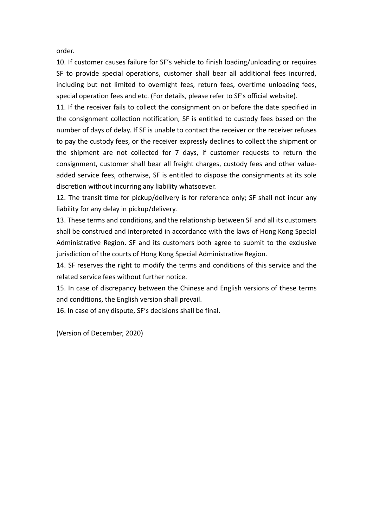order.

10. If customer causes failure for SF's vehicle to finish loading/unloading or requires SF to provide special operations, customer shall bear all additional fees incurred, including but not limited to overnight fees, return fees, overtime unloading fees, special operation fees and etc. (For details, please refer to SF's official website).

11. If the receiver fails to collect the consignment on or before the date specified in the consignment collection notification, SF is entitled to custody fees based on the number of days of delay. If SF is unable to contact the receiver or the receiver refuses to pay the custody fees, or the receiver expressly declines to collect the shipment or the shipment are not collected for 7 days, if customer requests to return the consignment, customer shall bear all freight charges, custody fees and other valueadded service fees, otherwise, SF is entitled to dispose the consignments at its sole discretion without incurring any liability whatsoever.

12. The transit time for pickup/delivery is for reference only; SF shall not incur any liability for any delay in pickup/delivery.

13. These terms and conditions, and the relationship between SF and all its customers shall be construed and interpreted in accordance with the laws of Hong Kong Special Administrative Region. SF and its customers both agree to submit to the exclusive jurisdiction of the courts of Hong Kong Special Administrative Region.

14. SF reserves the right to modify the terms and conditions of this service and the related service fees without further notice.

15. In case of discrepancy between the Chinese and English versions of these terms and conditions, the English version shall prevail.

16. In case of any dispute, SF's decisions shall be final.

(Version of December, 2020)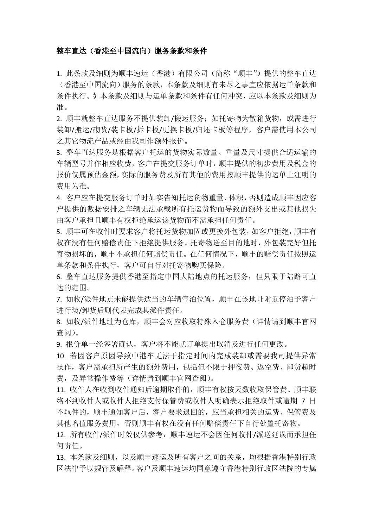## 整车直达(香港至中国流向)服务条款和条件

1. 此条款及细则为顺丰速运(香港)有限公司(简称"顺丰")提供的整车直达 (香港至中国流向)服务的条款,本条款及细则有未尽之事宜应依据运单条款和 条件执行。如本条款及细则与运单条款和条件有任何冲突,应以本条款及细则为 准。

2. 顺丰就整车直达服务不提供装卸/搬运服务;如托寄物为散箱货物, 或需进行 装卸/搬运/砌货/装卡板/拆卡板/更换卡板/归还卡板等程序,客户需使用本公司 之其它物流产品或经由我司作额外报价。

3. 整车直达服务是根据客户托运的货物实际数量、重量及尺寸提供合适运输的 车辆型号并作相应收费,客户在提交服务订单时,顺丰提供的初步费用及税金的 报价仅属预估金额,实际的服务费及所有其他的费用按顺丰提供的运单上注明的 费用为准。

4. 客户应在提交服务订单时如实告知托运货物重量、体积,否则造成顺丰因应客 户提供的数据安排之车辆无法承载所有托运货物而导致的额外支出或其他损失 由客户承担且顺丰有权拒绝承运该货物而不需承担任何责任。

5. 顺丰可在收件时要求客户将托运货物加固或更换外包装,如客户拒绝,顺丰有 权在没有任何赔偿责任下拒绝提供服务。托寄物送至目的地时,外包装完好但托 寄物损坏的,顺丰不承担任何赔偿责任。在任何情况下,顺丰的赔偿责任按照运 单条款和条件执行,客户可自行对托寄物购买保险。

6. 整车直达服务提供香港至指定中国大陆地点的托运服务,但只限于陆路可直 达的范围。

7. 如收/派件地点未能提供适当的车辆停泊位置,顺丰在该地址附近停泊予客户 进行装/卸货后则代表完成其派件责任。

8. 如收/派件地址为仓库,顺丰会对应收取特殊入仓服务费(详情请到顺丰官网 查阅)。

9. 报价单一经签署确认,客户将不能就订单提出取消及进行任何更改。

10. 若因客户原因导致中港车无法于指定时间内完成装卸或需要我司提供异常 操作,客户需承担所产生的额外费用,包括但不限于押夜费、返空费、卸货超时 费,及异常操作费等(详情请到顺丰官网杳阅)。

11. 收件人在收到收件通知后逾期取件的,顺丰有权按天数收取保管费。顺丰联 络不到收件人或收件人拒绝支付保管费或收件人明确表示拒绝取件或逾期 7 日 不取件的,顺丰通知客户后,客户要求退回的,应当承担相关的运费、保管费及 其他增值服务费用,否则顺丰有权在没有任何赔偿责任下自行处置托寄物。

12. 所有收件/派件时效仅供参考,顺丰速运不会因任何收件/派送延误而承担任 何责任。

13. 本条款及细则,以及顺丰速运及所有客户之间的关系,均根据香港特别行政 区法律予以规管及解释。客户及顺丰速运均同意遵守香港特别行政区法院的专属